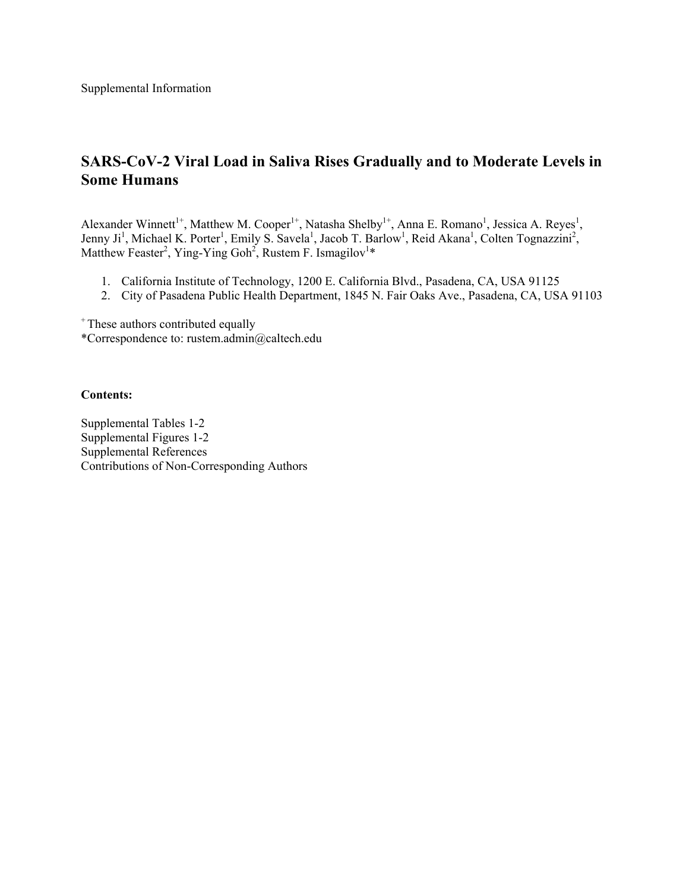Supplemental Information

## **SARS-CoV-2 Viral Load in Saliva Rises Gradually and to Moderate Levels in Some Humans**

Alexander Winnett<sup>1+</sup>, Matthew M. Cooper<sup>1+</sup>, Natasha Shelby<sup>1+</sup>, Anna E. Romano<sup>1</sup>, Jessica A. Reyes<sup>1</sup>, Jenny Ji<sup>1</sup>, Michael K. Porter<sup>1</sup>, Emily S. Savela<sup>1</sup>, Jacob T. Barlow<sup>1</sup>, Reid Akana<sup>1</sup>, Colten Tognazzini<sup>2</sup>, Matthew Feaster<sup>2</sup>, Ying-Ying Goh<sup>2</sup>, Rustem F. Ismagilov<sup>1\*</sup>

- 1. California Institute of Technology, 1200 E. California Blvd., Pasadena, CA, USA 91125
- 2. City of Pasadena Public Health Department, 1845 N. Fair Oaks Ave., Pasadena, CA, USA 91103

<sup>+</sup> These authors contributed equally

\*Correspondence to: rustem.admin@caltech.edu

## **Contents:**

Supplemental Tables 1-2 Supplemental Figures 1-2 Supplemental References Contributions of Non-Corresponding Authors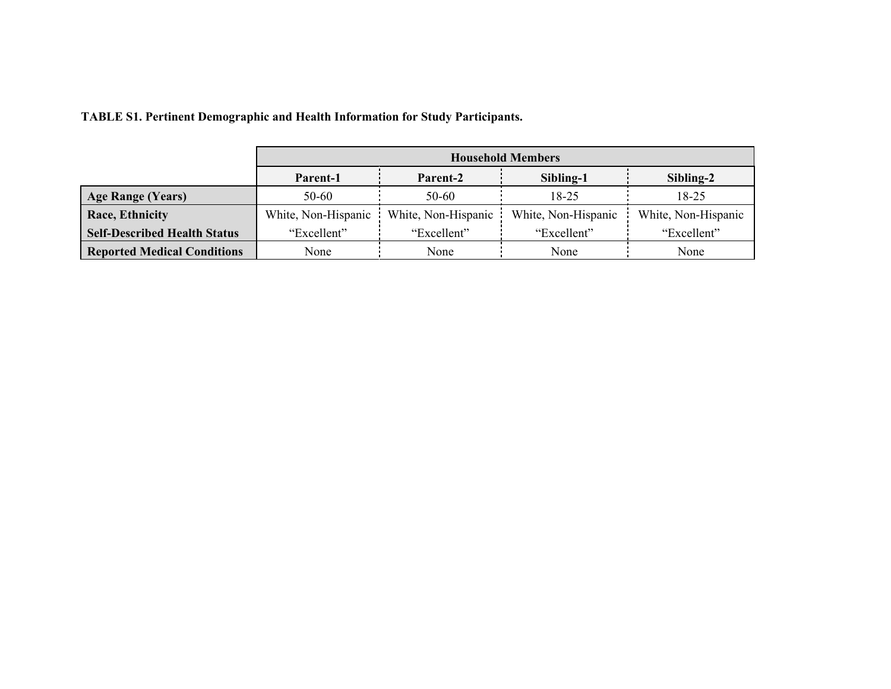|  | <b>TABLE S1. Pertinent Demographic and Health Information for Study Participants.</b> |  |  |  |
|--|---------------------------------------------------------------------------------------|--|--|--|
|  |                                                                                       |  |  |  |

|                                     | <b>Household Members</b> |                     |                     |                     |  |
|-------------------------------------|--------------------------|---------------------|---------------------|---------------------|--|
|                                     | Parent-1                 | Parent-2            | Sibling-1           | Sibling-2           |  |
| <b>Age Range (Years)</b>            | $50 - 60$                | 50-60               | 18-25               | 18-25               |  |
| Race, Ethnicity                     | White, Non-Hispanic      | White, Non-Hispanic | White, Non-Hispanic | White, Non-Hispanic |  |
| <b>Self-Described Health Status</b> | "Excellent"              | "Excellent"         |                     | "Excellent"         |  |
| <b>Reported Medical Conditions</b>  | None                     | None                | None                | None                |  |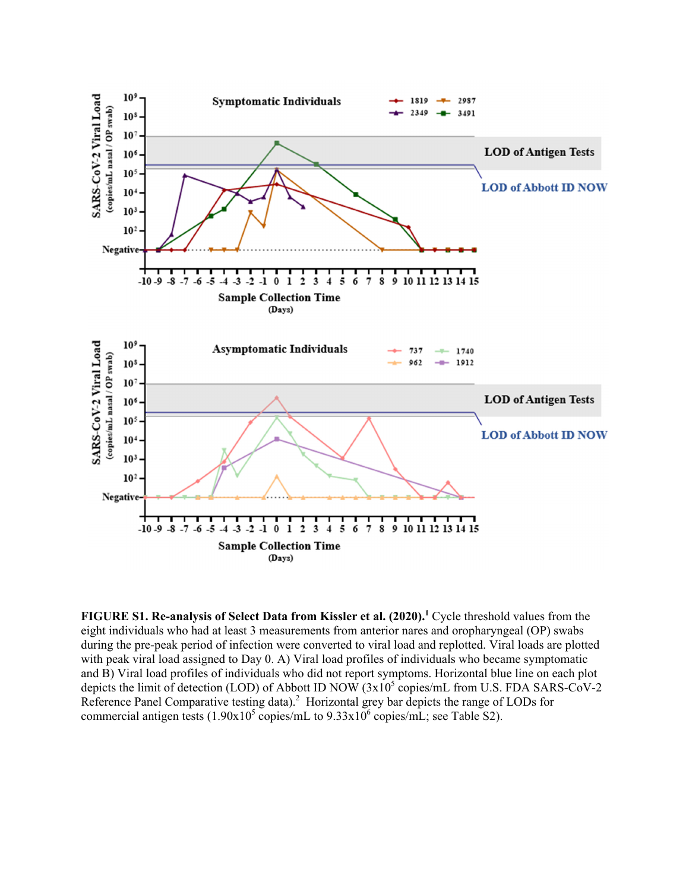

FIGURE S1. Re-analysis of Select Data from Kissler et al. (2020).<sup>1</sup> Cycle threshold values from the eight individuals who had at least 3 measurements from anterior nares and oropharyngeal (OP) swabs during the pre-peak period of infection were converted to viral load and replotted. Viral loads are plotted with peak viral load assigned to Day 0. A) Viral load profiles of individuals who became symptomatic and B) Viral load profiles of individuals who did not report symptoms. Horizontal blue line on each plot depicts the limit of detection (LOD) of Abbott ID NOW  $(3x10^5 \text{ copies/mL}$  from U.S. FDA SARS-CoV-2 Reference Panel Comparative testing data).<sup>2</sup> Horizontal grey bar depicts the range of LODs for commercial antigen tests  $(1.90x10^5 \text{ copies/mL}$  to  $9.33x10^6 \text{ copies/mL}$ ; see Table S2).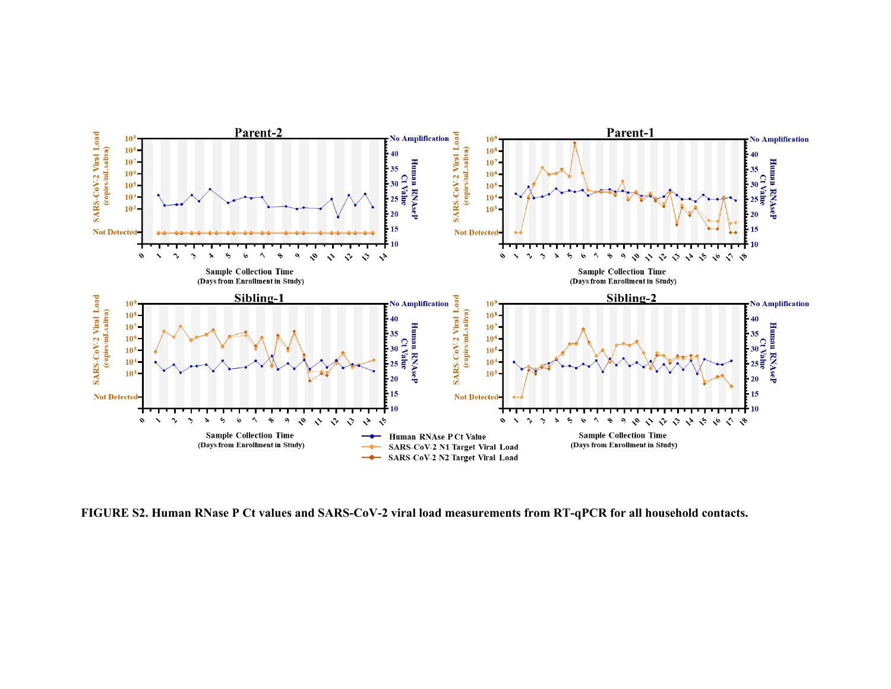

**FIGURE S2. Human RNase P Ct values and SARS-CoV-2 viral load measurements from RT-qPCR for all household contacts.**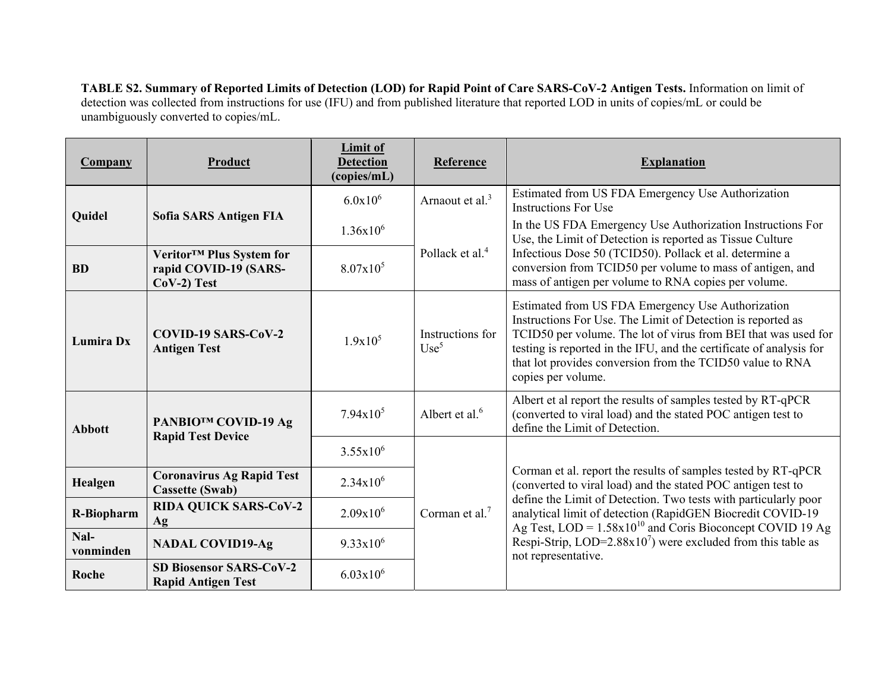**TABLE S2. Summary of Reported Limits of Detection (LOD) for Rapid Point of Care SARS-CoV-2 Antigen Tests.** Information on limit of detection was collected from instructions for use (IFU) and from published literature that reported LOD in units of copies/mL or could be unambiguously converted to copies/mL.

| <b>Company</b>    | Product                                                                         | <b>Limit of</b><br><b>Detection</b><br>(copies/mL) | Reference                            | <b>Explanation</b>                                                                                                                                                                                                                                                                                                                           |  |  |
|-------------------|---------------------------------------------------------------------------------|----------------------------------------------------|--------------------------------------|----------------------------------------------------------------------------------------------------------------------------------------------------------------------------------------------------------------------------------------------------------------------------------------------------------------------------------------------|--|--|
| Quidel            | Sofia SARS Antigen FIA                                                          | $6.0x10^6$                                         | Arnaout et al. <sup>3</sup>          | Estimated from US FDA Emergency Use Authorization<br><b>Instructions For Use</b>                                                                                                                                                                                                                                                             |  |  |
|                   |                                                                                 | $1.36x10^{6}$                                      |                                      | In the US FDA Emergency Use Authorization Instructions For<br>Use, the Limit of Detection is reported as Tissue Culture<br>Infectious Dose 50 (TCID50). Pollack et al. determine a<br>conversion from TCID50 per volume to mass of antigen, and<br>mass of antigen per volume to RNA copies per volume.                                      |  |  |
| <b>BD</b>         | Veritor <sup>™</sup> Plus System for<br>rapid COVID-19 (SARS-<br>$CoV-2$ ) Test | $8.07x10^5$                                        | Pollack et al. <sup>4</sup>          |                                                                                                                                                                                                                                                                                                                                              |  |  |
| Lumira Dx         | COVID-19 SARS-CoV-2<br><b>Antigen Test</b>                                      | $1.9x10^5$                                         | Instructions for<br>Use <sup>5</sup> | Estimated from US FDA Emergency Use Authorization<br>Instructions For Use. The Limit of Detection is reported as<br>TCID50 per volume. The lot of virus from BEI that was used for<br>testing is reported in the IFU, and the certificate of analysis for<br>that lot provides conversion from the TCID50 value to RNA<br>copies per volume. |  |  |
| <b>Abbott</b>     | PANBIO™ COVID-19 Ag<br><b>Rapid Test Device</b>                                 | $7.94x10^5$                                        | Albert et al. $6$                    | Albert et al report the results of samples tested by RT-qPCR<br>(converted to viral load) and the stated POC antigen test to<br>define the Limit of Detection.                                                                                                                                                                               |  |  |
|                   |                                                                                 | $3.55x10^{6}$                                      |                                      |                                                                                                                                                                                                                                                                                                                                              |  |  |
| Healgen           | <b>Coronavirus Ag Rapid Test</b><br><b>Cassette (Swab)</b>                      | $2.34x10^{6}$                                      | Corman et al. <sup>7</sup>           | Corman et al. report the results of samples tested by RT-qPCR<br>(converted to viral load) and the stated POC antigen test to                                                                                                                                                                                                                |  |  |
| <b>R-Biopharm</b> | <b>RIDA QUICK SARS-CoV-2</b><br>Ag                                              | $2.09x10^{6}$                                      |                                      | define the Limit of Detection. Two tests with particularly poor<br>analytical limit of detection (RapidGEN Biocredit COVID-19<br>Ag Test, LOD = 1.58x10 <sup>10</sup> and Coris Bioconcept COVID 19 Ag<br>Respi-Strip, LOD=2.88 $x107$ ) were excluded from this table as<br>not representative.                                             |  |  |
| Nal-<br>vonminden | <b>NADAL COVID19-Ag</b>                                                         | $9.33 \times 10^6$                                 |                                      |                                                                                                                                                                                                                                                                                                                                              |  |  |
| Roche             | <b>SD Biosensor SARS-CoV-2</b><br><b>Rapid Antigen Test</b>                     | $6.03x10^{6}$                                      |                                      |                                                                                                                                                                                                                                                                                                                                              |  |  |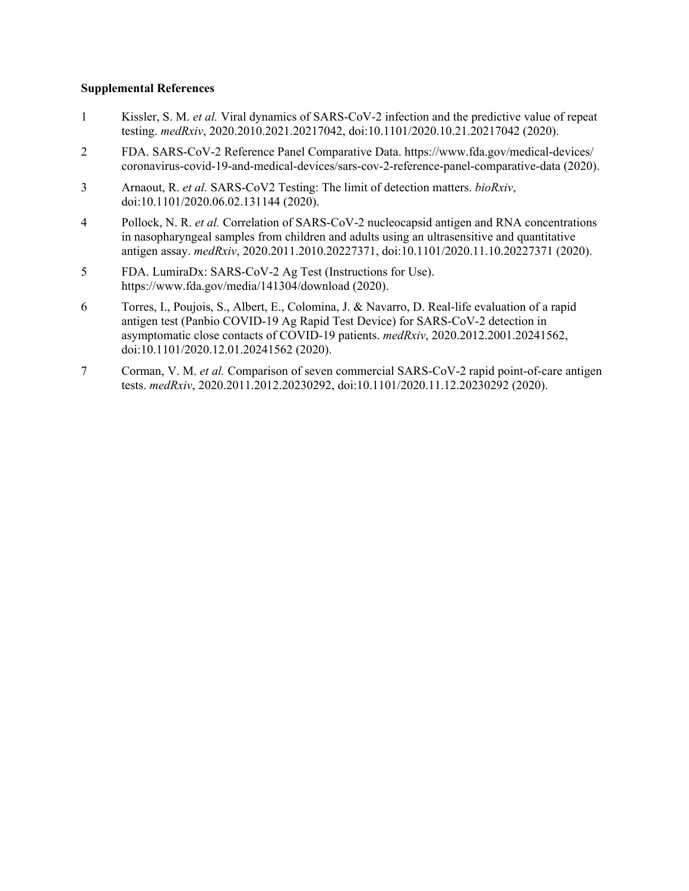## **Supplemental References**

- 1 Kissler, S. M. *et al.* Viral dynamics of SARS-CoV-2 infection and the predictive value of repeat testing. *medRxiv*, 2020.2010.2021.20217042, doi:10.1101/2020.10.21.20217042 (2020).
- 2 FDA. SARS-CoV-2 Reference Panel Comparative Data. https://www.fda.gov/medical-devices/ coronavirus-covid-19-and-medical-devices/sars-cov-2-reference-panel-comparative-data (2020).
- 3 Arnaout, R. *et al.* SARS-CoV2 Testing: The limit of detection matters. *bioRxiv*, doi:10.1101/2020.06.02.131144 (2020).
- 4 Pollock, N. R. *et al.* Correlation of SARS-CoV-2 nucleocapsid antigen and RNA concentrations in nasopharyngeal samples from children and adults using an ultrasensitive and quantitative antigen assay. *medRxiv*, 2020.2011.2010.20227371, doi:10.1101/2020.11.10.20227371 (2020).
- 5 FDA. LumiraDx: SARS-CoV-2 Ag Test (Instructions for Use). https://www.fda.gov/media/141304/download (2020).
- 6 Torres, I., Poujois, S., Albert, E., Colomina, J. & Navarro, D. Real-life evaluation of a rapid antigen test (Panbio COVID-19 Ag Rapid Test Device) for SARS-CoV-2 detection in asymptomatic close contacts of COVID-19 patients. *medRxiv*, 2020.2012.2001.20241562, doi:10.1101/2020.12.01.20241562 (2020).
- 7 Corman, V. M. *et al.* Comparison of seven commercial SARS-CoV-2 rapid point-of-care antigen tests. *medRxiv*, 2020.2011.2012.20230292, doi:10.1101/2020.11.12.20230292 (2020).